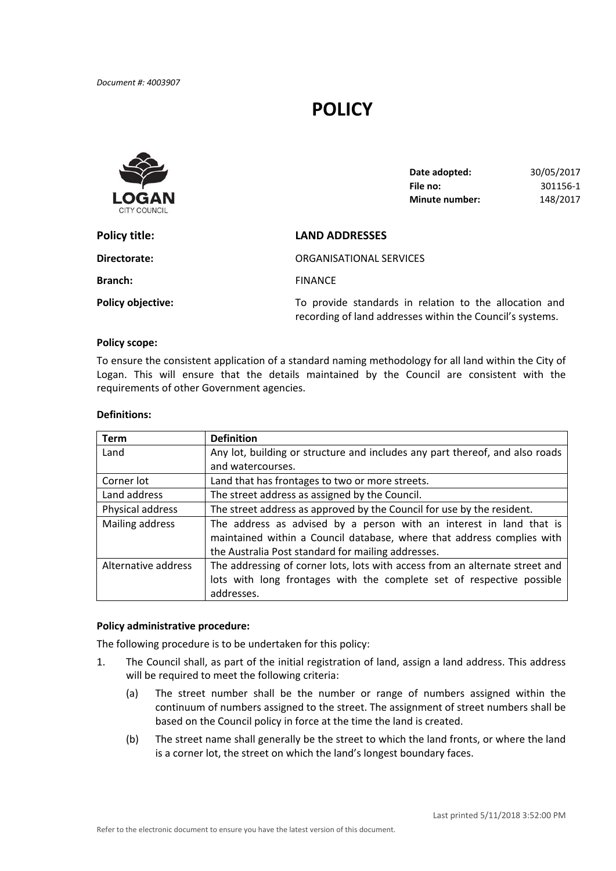# **POLICY**



| Date adopted:  | 30/05/2017 |
|----------------|------------|
| File no:       | 301156-1   |
| Minute number: | 148/2017   |

| Policy title:            | <b>LAND ADDRESSES</b>                                                                                               |  |
|--------------------------|---------------------------------------------------------------------------------------------------------------------|--|
| Directorate:             | ORGANISATIONAL SERVICES                                                                                             |  |
| <b>Branch:</b>           | <b>FINANCE</b>                                                                                                      |  |
| <b>Policy objective:</b> | To provide standards in relation to the allocation and<br>recording of land addresses within the Council's systems. |  |

## **Policy scope:**

 To ensure the consistent application of a standard naming methodology for all land within the City of Logan. This will ensure that the details maintained by the Council are consistent with the requirements of other Government agencies.

#### **Definitions:**

| <b>Term</b>         | <b>Definition</b>                                                            |  |
|---------------------|------------------------------------------------------------------------------|--|
| Land                | Any lot, building or structure and includes any part thereof, and also roads |  |
|                     | and watercourses.                                                            |  |
| Corner lot          | Land that has frontages to two or more streets.                              |  |
| Land address        | The street address as assigned by the Council.                               |  |
| Physical address    | The street address as approved by the Council for use by the resident.       |  |
| Mailing address     | The address as advised by a person with an interest in land that is          |  |
|                     | maintained within a Council database, where that address complies with       |  |
|                     | the Australia Post standard for mailing addresses.                           |  |
| Alternative address | The addressing of corner lots, lots with access from an alternate street and |  |
|                     | lots with long frontages with the complete set of respective possible        |  |
|                     | addresses.                                                                   |  |

## **Policy administrative procedure:**

The following procedure is to be undertaken for this policy:

- 1. The Council shall, as part of the initial registration of land, assign a land address. This address will be required to meet the following criteria:
	- (a) The street number shall be the number or range of numbers assigned within the continuum of numbers assigned to the street. The assignment of street numbers shall be based on the Council policy in force at the time the land is created.
	- (b) The street name shall generally be the street to which the land fronts, or where the land is a corner lot, the street on which the land's longest boundary faces.